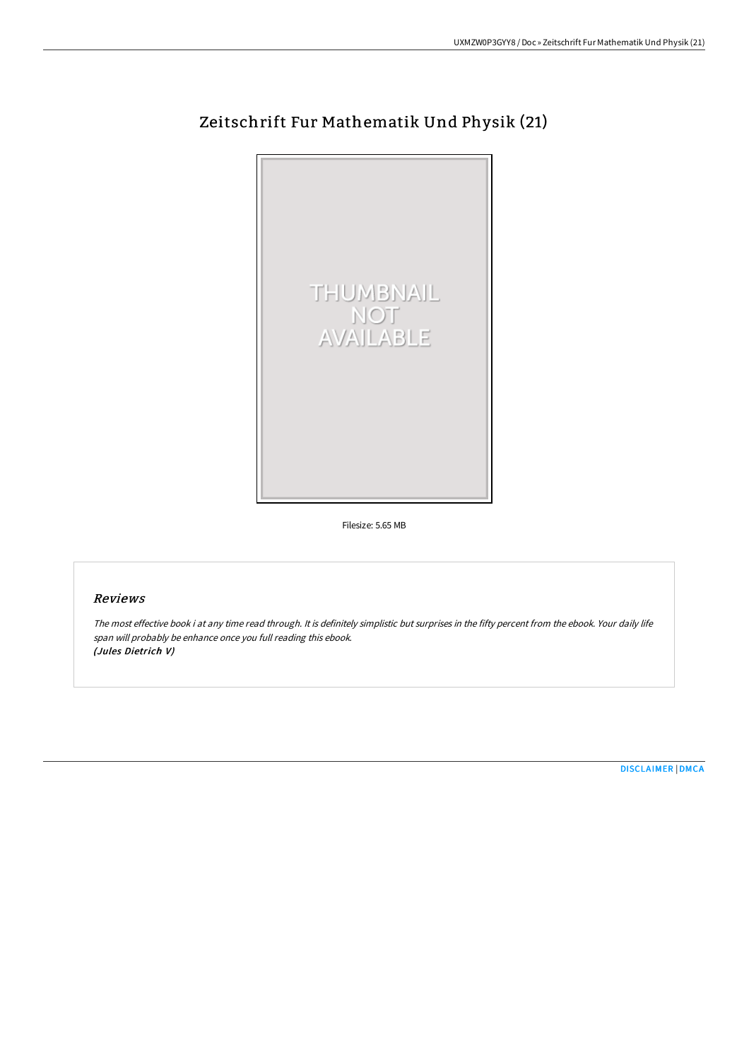

## Zeitschrift Fur Mathematik Und Physik (21)

Filesize: 5.65 MB

## Reviews

The most effective book i at any time read through. It is definitely simplistic but surprises in the fifty percent from the ebook. Your daily life span will probably be enhance once you full reading this ebook. (Jules Dietrich V)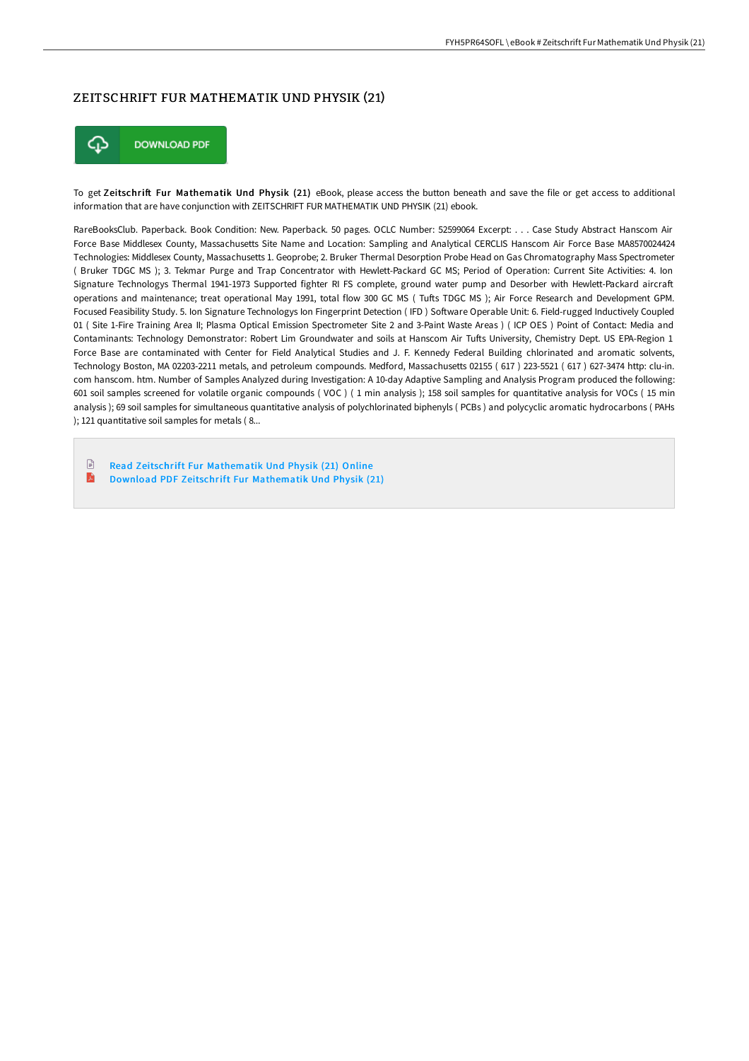## ZEITSCHRIFT FUR MATHEMATIK UND PHYSIK (21)



To get Zeitschrift Fur Mathematik Und Physik (21) eBook, please access the button beneath and save the file or get access to additional information that are have conjunction with ZEITSCHRIFT FUR MATHEMATIK UND PHYSIK (21) ebook.

RareBooksClub. Paperback. Book Condition: New. Paperback. 50 pages. OCLC Number: 52599064 Excerpt: . . . Case Study Abstract Hanscom Air Force Base Middlesex County, Massachusetts Site Name and Location: Sampling and Analytical CERCLIS Hanscom Air Force Base MA8570024424 Technologies: Middlesex County, Massachusetts 1. Geoprobe; 2. Bruker Thermal Desorption Probe Head on Gas Chromatography Mass Spectrometer ( Bruker TDGC MS ); 3. Tekmar Purge and Trap Concentrator with Hewlett-Packard GC MS; Period of Operation: Current Site Activities: 4. Ion Signature Technologys Thermal 1941-1973 Supported fighter RI FS complete, ground water pump and Desorber with Hewlett-Packard aircraft operations and maintenance; treat operational May 1991, total flow 300 GC MS (Tufts TDGC MS); Air Force Research and Development GPM. Focused Feasibility Study. 5. Ion Signature Technologys Ion Fingerprint Detection (IFD) Software Operable Unit: 6. Field-rugged Inductively Coupled 01 ( Site 1-Fire Training Area II; Plasma Optical Emission Spectrometer Site 2 and 3-Paint Waste Areas ) ( ICP OES ) Point of Contact: Media and Contaminants: Technology Demonstrator: Robert Lim Groundwater and soils at Hanscom Air Tufts University, Chemistry Dept. US EPA-Region 1 Force Base are contaminated with Center for Field Analytical Studies and J. F. Kennedy Federal Building chlorinated and aromatic solvents, Technology Boston, MA 02203-2211 metals, and petroleum compounds. Medford, Massachusetts 02155 ( 617 ) 223-5521 ( 617 ) 627-3474 http: clu-in. com hanscom. htm. Number of Samples Analyzed during Investigation: A 10-day Adaptive Sampling and Analysis Program produced the following: 601 soil samples screened for volatile organic compounds ( VOC ) ( 1 min analysis ); 158 soil samples for quantitative analysis for VOCs ( 15 min analysis ); 69 soil samples for simultaneous quantitative analysis of polychlorinated biphenyls ( PCBs ) and polycyclic aromatic hydrocarbons ( PAHs ); 121 quantitative soil samples for metals ( 8...

 $\mathbb{R}$ Read Zeitschrift Fur [Mathematik](http://techno-pub.tech/zeitschrift-fur-mathematik-und-physik-21.html) Und Physik (21) Online  $\mathbf{E}$ Download PDF Zeitschrift Fur [Mathematik](http://techno-pub.tech/zeitschrift-fur-mathematik-und-physik-21.html) Und Physik (21)